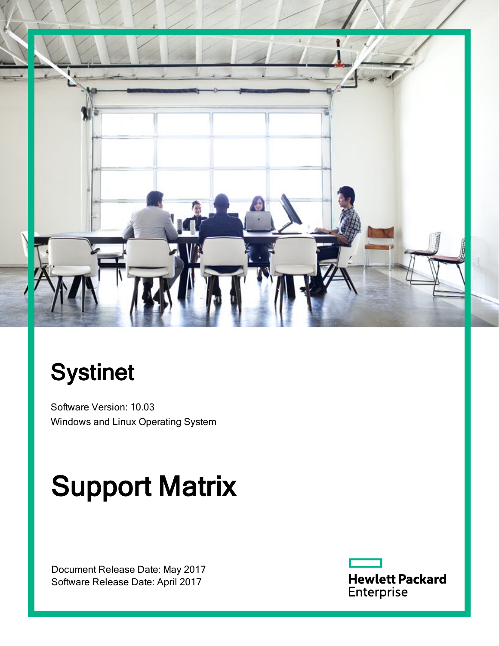

# **Systinet**

Software Version: 10.03 Windows and Linux Operating System

# Support Matrix

Document Release Date: May 2017 Software Release Date: April 2017

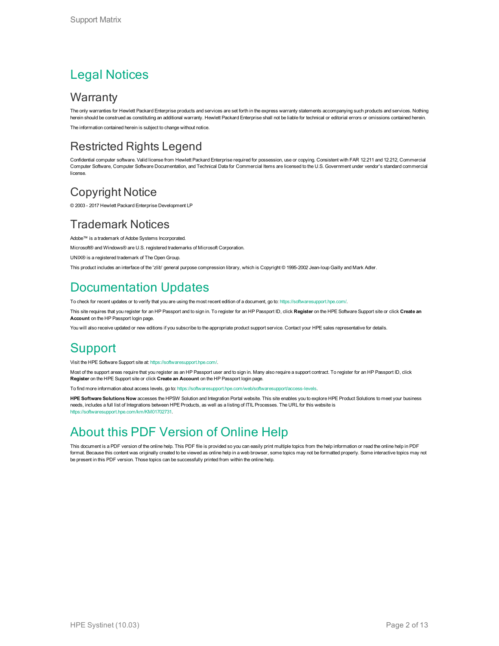#### Legal Notices

#### **Warranty**

The only warranties for Hewlett Packard Enterprise products and services are set forth in the express warranty statements accompanying such products and services. Nothing herein should be construed as constituting an additional warranty. Hewlett Packard Enterprise shall not be liable for technical or editorial errors or omissions contained herein. The information contained herein is subject to change without notice.

#### Restricted Rights Legend

Confidential computer software. Valid license from Hewlett Packard Enterprise required for possession, use or copying. Consistent with FAR 12.211 and 12.212, Commercial Computer Software, Computer Software Documentation, and Technical Data for Commercial Items are licensed to the U.S. Government under vendor's standard commercial license.

#### Copyright Notice

© 2003 - 2017 Hewlett Packard Enterprise Development LP

#### Trademark Notices

Adobe™ is a trademark of Adobe Systems Incorporated.

Microsoft® and Windows® are U.S. registered trademarks of Microsoft Corporation.

UNIX® is a registered trademark of The Open Group.

This product includes an interface of the 'zlib' general purpose compression library, which is Copyright © 1995-2002 Jean-loup Gailly and Mark Adler.

#### Documentation Updates

To check for recent updates or to verify that you are using the most recent edition of a document, go to: <https://softwaresupport.hpe.com/>.

This site requires that you register for an HP Passport and to sign in. To register for an HP Passport ID, click **Register** on the HPE Software Support site or click **Create an Account** on the HP Passport login page.

You will also receive updated or new editions if you subscribe to the appropriate product support service. Contact your HPE sales representative for details.

#### **Support**

Visit the HPE Software Support site at: <https://softwaresupport.hpe.com/>.

Most of the support areas require that you register as an HP Passport user and to sign in. Many also require a support contract. To register for an HP Passport ID, click **Register** on the HPE Support site or click **Create an Account** on the HP Passport login page.

To find more information about access levels, go to: <https://softwaresupport.hpe.com/web/softwaresupport/access-levels>.

**HPE Software Solutions Now** accesses the HPSW Solution and Integration Portal website. This site enables you to explore HPE Product Solutions to meet your business needs, includes a full list of Integrations between HPE Products, as well as a listing of ITIL Processes. The URL for this website is [https://softwaresupport.hpe.com/km/KM01702731.](https://softwaresupport.hpe.com/km/KM01702731)

#### About this PDF Version of Online Help

This document is a PDF version of the online help. This PDF file is provided so you can easily print multiple topics from the help information or read the online help in PDF format. Because this content was originally created to be viewed as online help in a web browser, some topics may not be formatted properly. Some interactive topics may not be present in this PDF version. Those topics can be successfully printed from within the online help.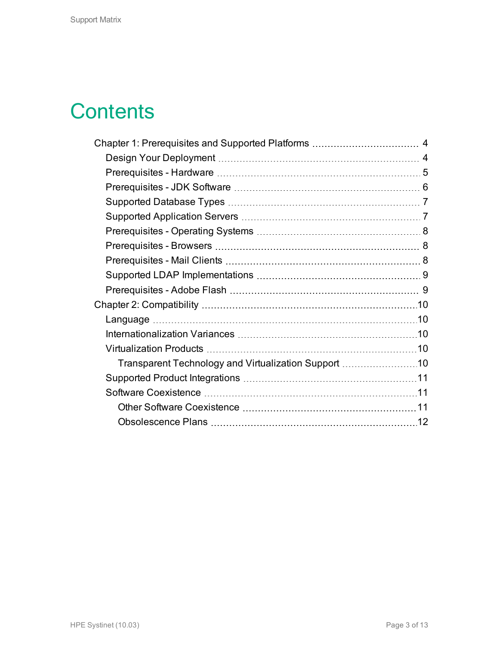# **Contents**

| Transparent Technology and Virtualization Support 10 |  |
|------------------------------------------------------|--|
|                                                      |  |
|                                                      |  |
|                                                      |  |
|                                                      |  |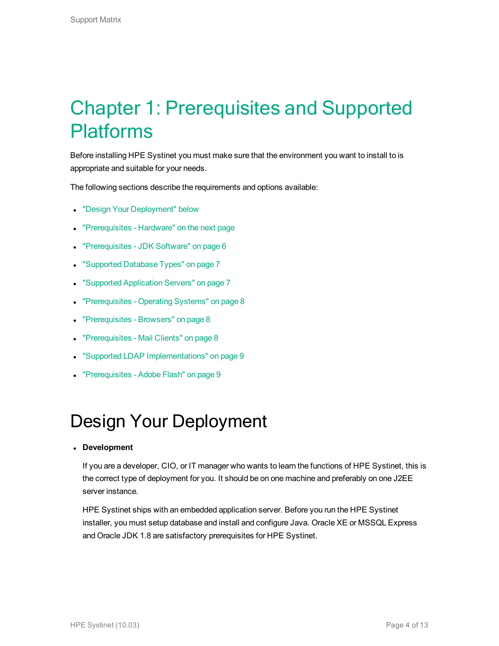# <span id="page-3-0"></span>Chapter 1: Prerequisites and Supported Platforms

Before installing HPE Systinet you must make sure that the environment you want to install to is appropriate and suitable for your needs.

The following sections describe the requirements and options available:

- "Design Your [Deployment"](#page-3-1) below
- ["Prerequisites](#page-4-0) Hardware" on the next page
- "Prerequisites [JDK Software"](#page-5-0) on page 6
- **.** ["Supported](#page-6-0) Database Types" on page 7
- **.** ["Supported](#page-6-1) Application Servers" on page 7
- ["Prerequisites](#page-7-0) Operating Systems" on page 8
- ["Prerequisites](#page-7-1) Browsers" on page 8
- <sup>l</sup> ["Prerequisites](#page-7-2) Mail Clients" on page 8
- "Supported [LDAP Implementations"](#page-8-0) on page 9
- <span id="page-3-1"></span>• ["Prerequisites](#page-8-1) - Adobe Flash" on page 9

#### Design Your Deployment

<sup>l</sup> **Development**

If you are a developer, CIO, or IT manager who wants to learn the functions of HPE Systinet, this is the correct type of deployment for you. It should be on one machine and preferably on one J2EE server instance.

HPE Systinet ships with an embedded application server. Before you run the HPE Systinet installer, you must setup database and install and configure Java. Oracle XE or MSSQL Express and Oracle JDK 1.8 are satisfactory prerequisites for HPE Systinet.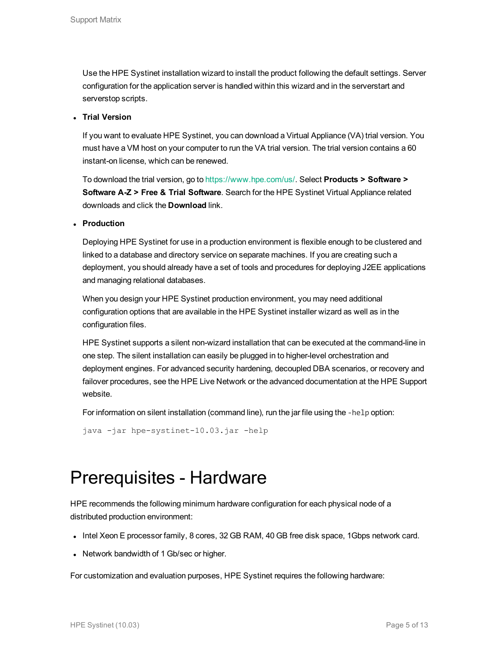Use the HPE Systinet installation wizard to install the product following the default settings. Server configuration for the application server is handled within this wizard and in the serverstart and serverstop scripts.

#### <sup>l</sup> **Trial Version**

If you want to evaluate HPE Systinet, you can download a Virtual Appliance (VA) trial version. You must have a VM host on your computer to run the VA trial version. The trial version contains a 60 instant-on license, which can be renewed.

To download the trial version, go to <https://www.hpe.com/us/>. Select **Products > Software > Software A-Z > Free & Trial Software**. Search for the HPE Systinet Virtual Appliance related downloads and click the **Download** link.

#### **• Production**

Deploying HPE Systinet for use in a production environment is flexible enough to be clustered and linked to a database and directory service on separate machines. If you are creating such a deployment, you should already have a set of tools and procedures for deploying J2EE applications and managing relational databases.

When you design your HPE Systinet production environment, you may need additional configuration options that are available in the HPE Systinet installer wizard as well as in the configuration files.

HPE Systinet supports a silent non-wizard installation that can be executed at the command-line in one step. The silent installation can easily be plugged in to higher-level orchestration and deployment engines. For advanced security hardening, decoupled DBA scenarios, or recovery and failover procedures, see the HPE Live Network or the advanced documentation at the HPE Support website.

For information on silent installation (command line), run the jar file using the -help option:

```
java -jar hpe-systinet-10.03.jar -help
```
#### Prerequisites - Hardware

HPE recommends the following minimum hardware configuration for each physical node of a distributed production environment:

- Intel Xeon E processor family, 8 cores, 32 GB RAM, 40 GB free disk space, 1Gbps network card.
- Network bandwidth of 1 Gb/sec or higher.

For customization and evaluation purposes, HPE Systinet requires the following hardware: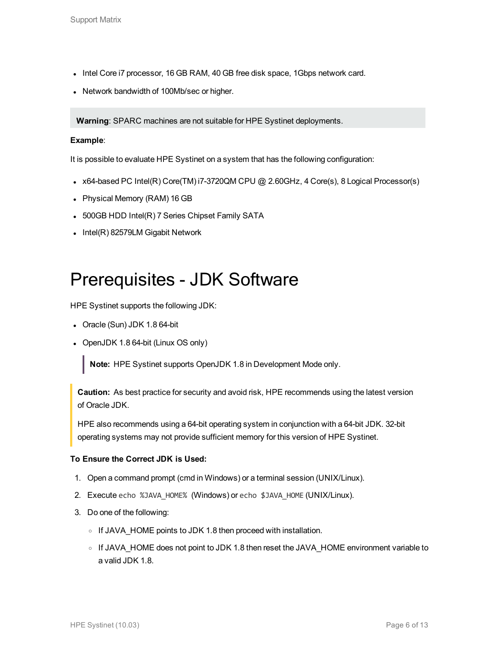- Intel Core i7 processor, 16 GB RAM, 40 GB free disk space, 1Gbps network card.
- Network bandwidth of 100Mb/sec or higher.

**Warning**: SPARC machines are not suitable for HPE Systinet deployments.

#### **Example**:

It is possible to evaluate HPE Systinet on a system that has the following configuration:

- $\bullet$  x64-based PC Intel(R) Core(TM) i7-3720QM CPU @ 2.60GHz, 4 Core(s), 8 Logical Processor(s)
- Physical Memory (RAM) 16 GB
- 500GB HDD Intel(R) 7 Series Chipset Family SATA
- <span id="page-5-0"></span>• Intel(R) 82579LM Gigabit Network

#### Prerequisites - JDK Software

HPE Systinet supports the following JDK:

- Oracle (Sun) JDK  $1.864$ -bit
- OpenJDK 1.8 64-bit (Linux OS only)

**Note:** HPE Systinet supports OpenJDK 1.8 in Development Mode only.

**Caution:** As best practice for security and avoid risk, HPE recommends using the latest version of Oracle JDK.

HPE also recommends using a 64-bit operating system in conjunction with a 64-bit JDK. 32-bit operating systems may not provide sufficient memory for this version of HPE Systinet.

#### **To Ensure the Correct JDK is Used:**

- 1. Open a command prompt (cmd in Windows) or a terminal session (UNIX/Linux).
- 2. Execute echo %JAVA\_HOME% (Windows) or echo \$JAVA\_HOME (UNIX/Linux).
- 3. Do one of the following:
	- o If JAVA\_HOME points to JDK 1.8 then proceed with installation.
	- <sup>o</sup> If JAVA\_HOME does not point to JDK 1.8 then reset the JAVA\_HOME environment variable to a valid JDK 1.8.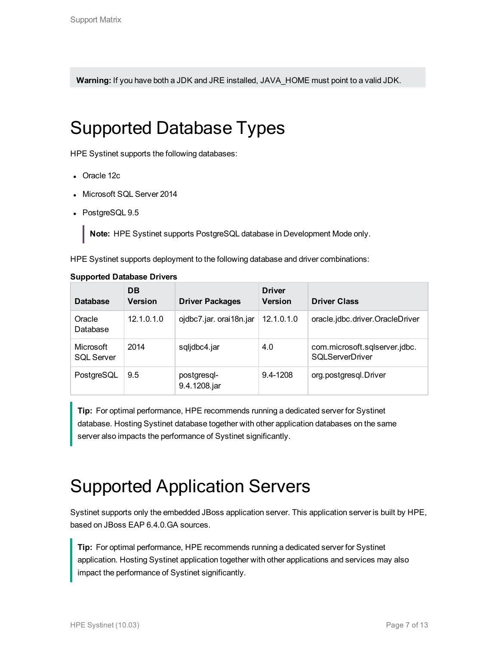<span id="page-6-0"></span>**Warning:** If you have both a JDK and JRE installed, JAVA\_HOME must point to a valid JDK.

#### Supported Database Types

HPE Systinet supports the following databases:

- Oracle 12c
- Microsoft SQL Server 2014
- $\cdot$  PostgreSQL 9.5

**Note:** HPE Systinet supports PostgreSQL database in Development Mode only.

HPE Systinet supports deployment to the following database and driver combinations:

| <b>Database</b>                | <b>DB</b><br><b>Version</b> | <b>Driver Packages</b>      | <b>Driver</b><br><b>Version</b> | <b>Driver Class</b>                                     |
|--------------------------------|-----------------------------|-----------------------------|---------------------------------|---------------------------------------------------------|
| Oracle<br>Database             | 12.1.0.1.0                  | ojdbc7.jar. orai18n.jar     | 12.1.0.1.0                      | oracle.jdbc.driver.OracleDriver                         |
| Microsoft<br><b>SQL Server</b> | 2014                        | sqljdbc4.jar                | 4.0                             | com.microsoft.sqlserver.jdbc.<br><b>SQLServerDriver</b> |
| PostgreSQL                     | 9.5                         | postgresql-<br>9.4.1208.jar | $9.4 - 1208$                    | org.postgresql.Driver                                   |

**Supported Database Drivers**

**Tip:** For optimal performance, HPE recommends running a dedicated server for Systinet database. Hosting Systinet database together with other application databases on the same server also impacts the performance of Systinet significantly.

# <span id="page-6-1"></span>Supported Application Servers

Systinet supports only the embedded JBoss application server. This application server is built by HPE, based on JBoss EAP 6.4.0.GA sources.

**Tip:** For optimal performance, HPE recommends running a dedicated server for Systinet application. Hosting Systinet application together with other applications and services may also impact the performance of Systinet significantly.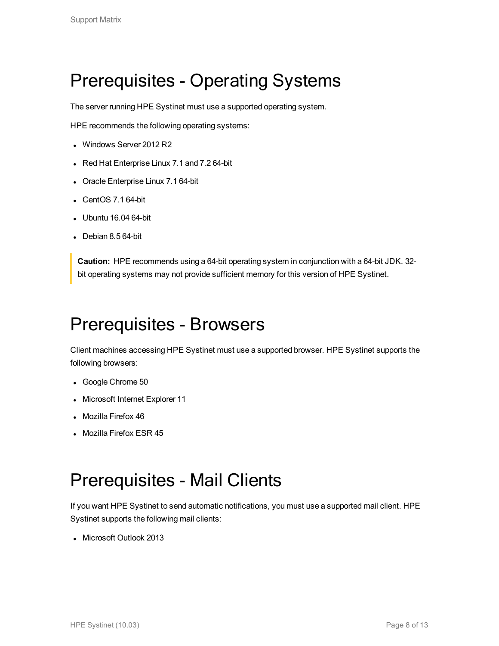# <span id="page-7-0"></span>Prerequisites - Operating Systems

The server running HPE Systinet must use a supported operating system.

HPE recommends the following operating systems:

- Windows Server 2012 R2
- Red Hat Enterprise Linux 7.1 and 7.2 64-bit
- Oracle Enterprise Linux 7.1 64-bit
- $\bullet$  CentOS 7.1 64-bit
- $\bullet$  Ubuntu 16.04 64-bit
- $\bullet$  Debian 8.5 64-bit

<span id="page-7-1"></span>**Caution:** HPE recommends using a 64-bit operating system in conjunction with a 64-bit JDK. 32 bit operating systems may not provide sufficient memory for this version of HPE Systinet.

## Prerequisites - Browsers

Client machines accessing HPE Systinet must use a supported browser. HPE Systinet supports the following browsers:

- Google Chrome 50
- Microsoft Internet Explorer 11
- Mozilla Firefox 46
- <span id="page-7-2"></span>• Mozilla Firefox ESR 45

#### Prerequisites - Mail Clients

If you want HPE Systinet to send automatic notifications, you must use a supported mail client. HPE Systinet supports the following mail clients:

• Microsoft Outlook 2013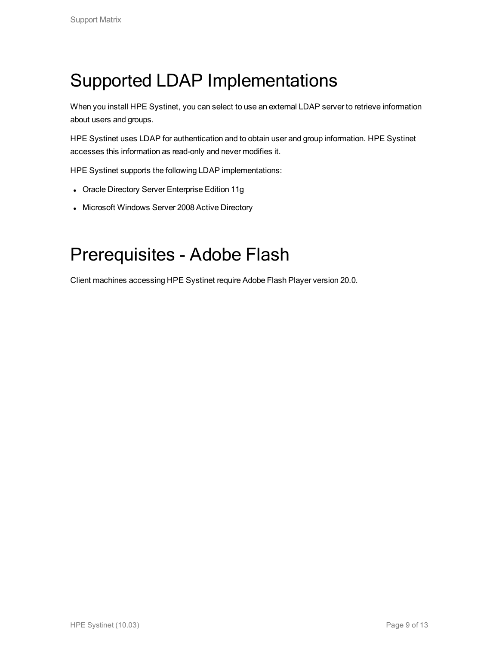# <span id="page-8-0"></span>Supported LDAP Implementations

When you install HPE Systinet, you can select to use an external LDAP server to retrieve information about users and groups.

HPE Systinet uses LDAP for authentication and to obtain user and group information. HPE Systinet accesses this information as read-only and never modifies it.

HPE Systinet supports the following LDAP implementations:

- Oracle Directory Server Enterprise Edition 11g
- <span id="page-8-1"></span>• Microsoft Windows Server 2008 Active Directory

#### Prerequisites - Adobe Flash

Client machines accessing HPE Systinet require Adobe Flash Player version 20.0.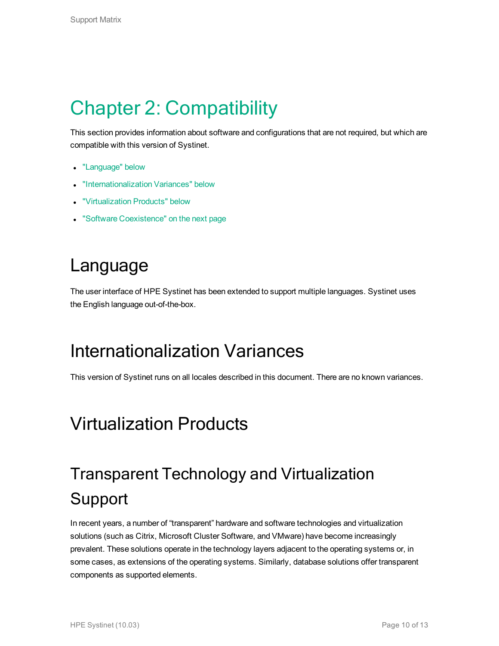# <span id="page-9-0"></span>Chapter 2: Compatibility

This section provides information about software and configurations that are not required, but which are compatible with this version of Systinet.

- ["Language"](#page-9-1) below
- <sup>l</sup> ["Internationalization](#page-9-2) Variances" below
- ["Virtualization](#page-9-3) Products" below
- <span id="page-9-1"></span>• "Software [Coexistence"](#page-10-1) on the next page

## Language

<span id="page-9-2"></span>The user interface of HPE Systinet has been extended to support multiple languages. Systinet uses the English language out-of-the-box.

## Internationalization Variances

<span id="page-9-3"></span>This version of Systinet runs on all locales described in this document. There are no known variances.

#### <span id="page-9-4"></span>Virtualization Products

# Transparent Technology and Virtualization Support

In recent years, a number of "transparent" hardware and software technologies and virtualization solutions (such as Citrix, Microsoft Cluster Software, and VMware) have become increasingly prevalent. These solutions operate in the technology layers adjacent to the operating systems or, in some cases, as extensions of the operating systems. Similarly, database solutions offer transparent components as supported elements.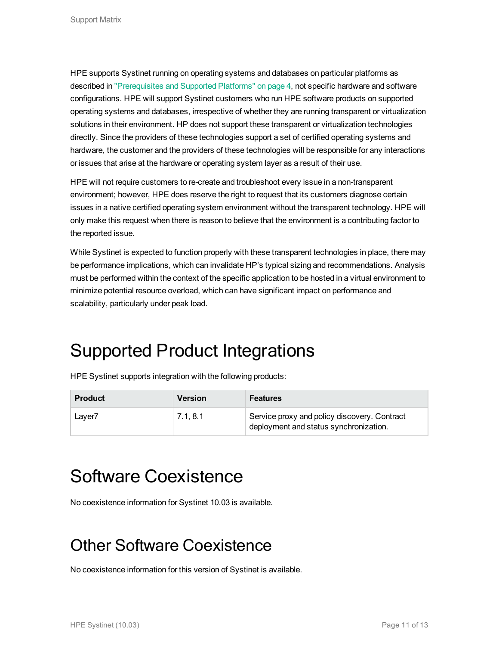HPE supports Systinet running on operating systems and databases on particular platforms as described in ["Prerequisites](#page-3-0) and Supported Platforms" on page 4, not specific hardware and software configurations. HPE will support Systinet customers who run HPE software products on supported operating systems and databases, irrespective of whether they are running transparent or virtualization solutions in their environment. HP does not support these transparent or virtualization technologies directly. Since the providers of these technologies support a set of certified operating systems and hardware, the customer and the providers of these technologies will be responsible for any interactions or issues that arise at the hardware or operating system layer as a result of their use.

HPE will not require customers to re-create and troubleshoot every issue in a non-transparent environment; however, HPE does reserve the right to request that its customers diagnose certain issues in a native certified operating system environment without the transparent technology. HPE will only make this request when there is reason to believe that the environment is a contributing factor to the reported issue.

While Systinet is expected to function properly with these transparent technologies in place, there may be performance implications, which can invalidate HP's typical sizing and recommendations. Analysis must be performed within the context of the specific application to be hosted in a virtual environment to minimize potential resource overload, which can have significant impact on performance and scalability, particularly under peak load.

## <span id="page-10-0"></span>Supported Product Integrations

HPE Systinet supports integration with the following products:

| <b>Product</b> | <b>Version</b> | <b>Features</b>                                                                        |
|----------------|----------------|----------------------------------------------------------------------------------------|
| Laver7         | 7.1.8.1        | Service proxy and policy discovery. Contract<br>deployment and status synchronization. |

## <span id="page-10-1"></span>Software Coexistence

<span id="page-10-2"></span>No coexistence information for Systinet 10.03 is available.

#### Other Software Coexistence

No coexistence information for this version of Systinet is available.